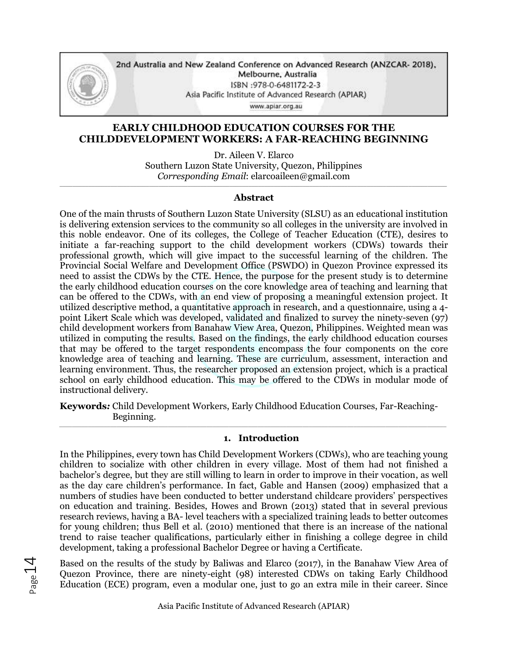

2nd Australia and New Zealand Conference on Advanced Research (ANZCAR- 2018), Melbourne, Australia ISBN:978-0-6481172-2-3 Asia Pacific Institute of Advanced Research (APIAR)

www.apiar.org.au

# **EARLY CHILDHOOD EDUCATION COURSES FOR THE CHILDDEVELOPMENT WORKERS: A FAR-REACHING BEGINNING**

Dr. Aileen V. Elarco Southern Luzon State University, Quezon, Philippines *Corresponding Email*: elarcoaileen@gmail.com

#### \_\_\_\_\_\_\_\_\_\_\_\_\_\_\_\_\_\_\_\_\_\_\_\_\_\_\_\_\_\_\_\_\_\_\_\_\_\_\_\_\_\_\_\_\_\_\_\_\_\_\_\_\_\_\_\_\_\_\_\_\_\_\_\_\_\_\_\_\_\_\_\_\_\_\_\_\_\_\_\_\_\_\_\_\_\_\_\_\_\_\_\_\_\_\_\_\_\_\_\_\_\_\_\_\_\_\_\_\_\_\_\_\_\_\_\_\_\_\_\_\_ **Abstract**

One of the main thrusts of Southern Luzon State University (SLSU) as an educational institution is delivering extension services to the community so all colleges in the university are involved in this noble endeavor. One of its colleges, the College of Teacher Education (CTE), desires to initiate a far-reaching support to the child development workers (CDWs) towards their professional growth, which will give impact to the successful learning of the children. The Provincial Social Welfare and Development Office (PSWDO) in Quezon Province expressed its need to assist the CDWs by the CTE. Hence, the purpose for the present study is to determine the early childhood education courses on the core knowledge area of teaching and learning that can be offered to the CDWs, with an end view of proposing a meaningful extension project. It utilized descriptive method, a quantitative approach in research, and a questionnaire, using a 4 point Likert Scale which was developed, validated and finalized to survey the ninety-seven (97) child development workers from Banahaw View Area, Quezon, Philippines. Weighted mean was utilized in computing the results. Based on the findings, the early childhood education courses that may be offered to the target respondents encompass the four components on the core knowledge area of teaching and learning. These are curriculum, assessment, interaction and learning environment. Thus, the researcher proposed an extension project, which is a practical school on early childhood education. This may be offered to the CDWs in modular mode of instructional delivery.

**Keywords***:* Child Development Workers, Early Childhood Education Courses, Far-Reaching- Beginning. *\_\_\_\_\_\_\_\_\_\_\_\_\_\_\_\_\_\_\_\_\_\_\_\_\_\_\_\_\_\_\_\_\_\_\_\_\_\_\_\_\_\_\_\_\_\_\_\_\_\_\_\_\_\_\_\_\_\_\_\_\_\_\_\_\_\_\_\_\_\_\_\_\_\_\_\_\_\_\_\_\_\_\_\_\_\_\_\_\_\_\_\_\_\_\_\_\_\_\_\_\_\_\_\_\_\_\_\_\_\_\_\_\_\_\_\_\_\_\_\_\_*

## **1. Introduction**

In the Philippines, every town has Child Development Workers (CDWs), who are teaching young children to socialize with other children in every village. Most of them had not finished a bachelor's degree, but they are still willing to learn in order to improve in their vocation, as well as the day care children's performance. In fact, Gable and Hansen (2009) emphasized that a numbers of studies have been conducted to better understand childcare providers' perspectives on education and training. Besides, Howes and Brown (2013) stated that in several previous research reviews, having a BA- level teachers with a specialized training leads to better outcomes for young children; thus Bell et al. (2010) mentioned that there is an increase of the national trend to raise teacher qualifications, particularly either in finishing a college degree in child development, taking a professional Bachelor Degree or having a Certificate.

Based on the results of the study by Baliwas and Elarco (2017), in the Banahaw View Area of Quezon Province, there are ninety-eight (98) interested CDWs on taking Early Childhood Education (ECE) program, even a modular one, just to go an extra mile in their career. Since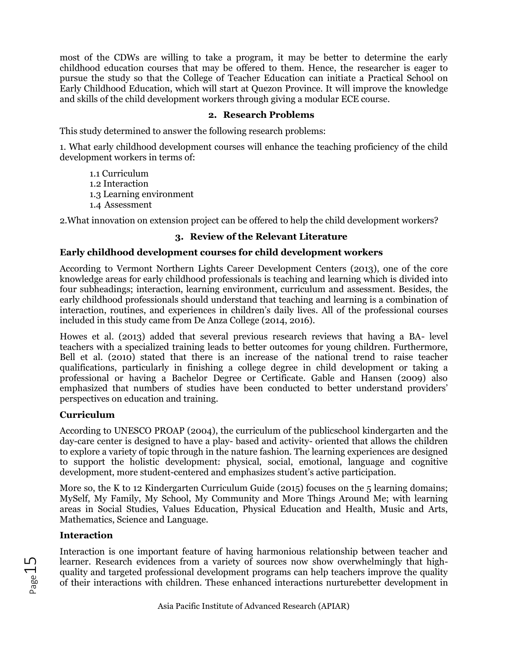most of the CDWs are willing to take a program, it may be better to determine the early childhood education courses that may be offered to them. Hence, the researcher is eager to pursue the study so that the College of Teacher Education can initiate a Practical School on Early Childhood Education, which will start at Quezon Province. It will improve the knowledge and skills of the child development workers through giving a modular ECE course.

## **2. Research Problems**

This study determined to answer the following research problems:

1. What early childhood development courses will enhance the teaching proficiency of the child development workers in terms of:

1.1 Curriculum 1.2 Interaction 1.3 Learning environment 1.4 Assessment

2.What innovation on extension project can be offered to help the child development workers?

# **3. Review of the Relevant Literature**

# **Early childhood development courses for child development workers**

According to Vermont Northern Lights Career Development Centers (2013), one of the core knowledge areas for early childhood professionals is teaching and learning which is divided into four subheadings; interaction, learning environment, curriculum and assessment. Besides, the early childhood professionals should understand that teaching and learning is a combination of interaction, routines, and experiences in children's daily lives. All of the professional courses included in this study came from De Anza College (2014, 2016).

Howes et al. (2013) added that several previous research reviews that having a BA- level teachers with a specialized training leads to better outcomes for young children. Furthermore, Bell et al. (2010) stated that there is an increase of the national trend to raise teacher qualifications, particularly in finishing a college degree in child development or taking a professional or having a Bachelor Degree or Certificate. Gable and Hansen (2009) also emphasized that numbers of studies have been conducted to better understand providers' perspectives on education and training.

# **Curriculum**

According to UNESCO PROAP (2004), the curriculum of the publicschool kindergarten and the day-care center is designed to have a play- based and activity- oriented that allows the children to explore a variety of topic through in the nature fashion. The learning experiences are designed to support the holistic development: physical, social, emotional, language and cognitive development, more student-centered and emphasizes student's active participation.

More so, the K to 12 Kindergarten Curriculum Guide (2015) focuses on the 5 learning domains; MySelf, My Family, My School, My Community and More Things Around Me; with learning areas in Social Studies, Values Education, Physical Education and Health, Music and Arts, Mathematics, Science and Language.

# **Interaction**

Interaction is one important feature of having harmonious relationship between teacher and learner. Research evidences from a variety of sources now show overwhelmingly that highquality and targeted professional development programs can help teachers improve the quality of their interactions with children. These enhanced interactions nurturebetter development in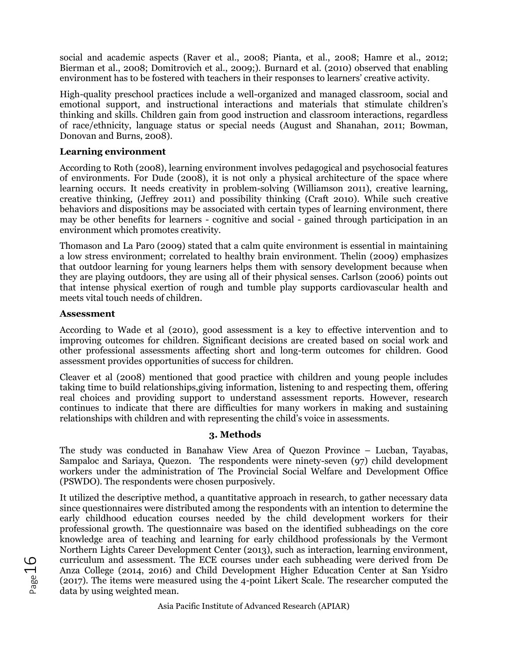social and academic aspects (Raver et al., 2008; Pianta, et al., 2008; Hamre et al., 2012; Bierman et al., 2008; Domitrovich et al., 2009;). Burnard et al. (2010) observed that enabling environment has to be fostered with teachers in their responses to learners' creative activity.

High-quality preschool practices include a well-organized and managed classroom, social and emotional support, and instructional interactions and materials that stimulate children's thinking and skills. Children gain from good instruction and classroom interactions, regardless of race/ethnicity, language status or special needs (August and Shanahan, 2011; Bowman, Donovan and Burns, 2008).

### **Learning environment**

According to Roth (2008), learning environment involves pedagogical and psychosocial features of environments. For Dude (2008), it is not only a physical architecture of the space where learning occurs. It needs creativity in problem-solving (Williamson 2011), creative learning, creative thinking, (Jeffrey 2011) and possibility thinking (Craft 2010). While such creative behaviors and dispositions may be associated with certain types of learning environment, there may be other benefits for learners - cognitive and social - gained through participation in an environment which promotes creativity.

Thomason and La Paro (2009) stated that a calm quite environment is essential in maintaining a low stress environment; correlated to healthy brain environment. Thelin (2009) emphasizes that outdoor learning for young learners helps them with sensory development because when they are playing outdoors, they are using all of their physical senses. Carlson (2006) points out that intense physical exertion of rough and tumble play supports cardiovascular health and meets vital touch needs of children.

## **Assessment**

According to Wade et al (2010), good assessment is a key to effective intervention and to improving outcomes for children. Significant decisions are created based on social work and other professional assessments affecting short and long-term outcomes for children. Good assessment provides opportunities of success for children.

Cleaver et al (2008) mentioned that good practice with children and young people includes taking time to build relationships,giving information, listening to and respecting them, offering real choices and providing support to understand assessment reports. However, research continues to indicate that there are difficulties for many workers in making and sustaining relationships with children and with representing the child's voice in assessments.

## **3. Methods**

The study was conducted in Banahaw View Area of Quezon Province – Lucban, Tayabas, Sampaloc and Sariaya, Quezon. The respondents were ninety-seven (97) child development workers under the administration of The Provincial Social Welfare and Development Office (PSWDO). The respondents were chosen purposively.

It utilized the descriptive method, a quantitative approach in research, to gather necessary data since questionnaires were distributed among the respondents with an intention to determine the early childhood education courses needed by the child development workers for their professional growth. The questionnaire was based on the identified subheadings on the core knowledge area of teaching and learning for early childhood professionals by the Vermont Northern Lights Career Development Center (2013), such as interaction, learning environment, curriculum and assessment. The ECE courses under each subheading were derived from De Anza College (2014, 2016) and Child Development Higher Education Center at San Ysidro (2017). The items were measured using the 4-point Likert Scale. The researcher computed the data by using weighted mean.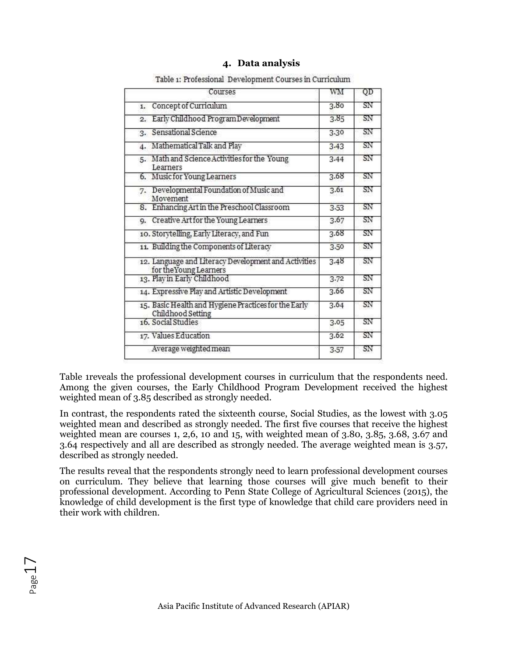| Courses                                                                   | wм   | QD |
|---------------------------------------------------------------------------|------|----|
| Concept of Curriculum<br>1.                                               | 3.80 | SN |
| Early Childhood Program Development<br>2.                                 | 3.85 | SN |
| 3. Sensational Science                                                    | 3.30 | SN |
| Mathematical Talk and Play<br>4.                                          | 3.43 | SN |
| Math and Science Activities for the Young<br>5.<br>Learners               | 3.44 | SN |
| 6. Music for Young Learners                                               | 3.68 | SN |
| 7. Developmental Foundation of Music and<br>Movement                      | 3.61 | SN |
| 8. Enhancing Art in the Preschool Classroom                               | 3.53 | SN |
| 9. Creative Art for the Young Learners                                    | 3.67 | SN |
| 10. Storytelling, Early Literacy, and Fun                                 | 3.68 | SN |
| 11. Building the Components of Literacy                                   | 3.50 | SN |
| 12. Language and Literacy Development and Activities                      | 3.48 | SN |
| for the Young Learners<br>13. Play in Early Childhood                     | 3.72 | SN |
| 14. Expressive Play and Artistic Development                              | 3.66 | SN |
| 15. Basic Health and Hygiene Practices for the Early<br>Childhood Setting | 3.64 | SN |
| 16. Social Studies                                                        | 3.05 | SN |
| 17. Values Education                                                      | 3.62 | SN |
| Average weighted mean                                                     | 3.57 | SΝ |

### **4. Data analysis**

Table 1: Professional Development Courses in Curriculum

Table 1reveals the professional development courses in curriculum that the respondents need. Among the given courses, the Early Childhood Program Development received the highest weighted mean of 3.85 described as strongly needed.

In contrast, the respondents rated the sixteenth course, Social Studies, as the lowest with 3.05 weighted mean and described as strongly needed. The first five courses that receive the highest weighted mean are courses 1, 2,6, 10 and 15, with weighted mean of 3.80, 3.85, 3.68, 3.67 and 3.64 respectively and all are described as strongly needed. The average weighted mean is 3.57, described as strongly needed.

The results reveal that the respondents strongly need to learn professional development courses on curriculum. They believe that learning those courses will give much benefit to their professional development. According to Penn State College of Agricultural Sciences (2015), the knowledge of child development is the first type of knowledge that child care providers need in their work with children.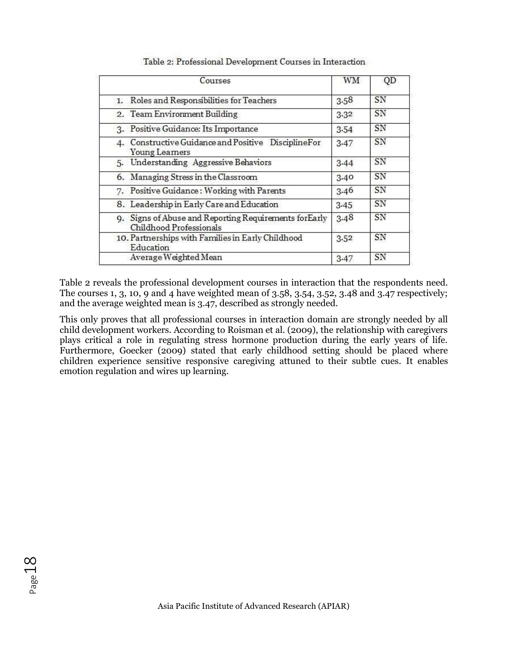| Courses                                                                           | WМ   | QD |
|-----------------------------------------------------------------------------------|------|----|
| 1. Roles and Responsibilities for Teachers                                        | 3.58 | SN |
| 2. Team Environment Building                                                      | 3.32 | SN |
| 3. Positive Guidance: Its Importance                                              | 3.54 | SN |
| Constructive Guidance and Positive DisciplineFor<br>Young Learners                | 3.47 | SN |
| 5. Understanding Aggressive Behaviors                                             | 3.44 | SN |
| 6. Managing Stress in the Classroom                                               | 3.40 | SN |
| 7. Positive Guidance: Working with Parents                                        | 3.46 | SN |
| 8. Leadership in Early Care and Education                                         | 3.45 | SN |
| 9. Signs of Abuse and Reporting Requirements for Early<br>Childhood Professionals | 3.48 | SN |
| 10. Partnerships with Families in Early Childhood<br>Education                    | 3.52 | SN |
| Average Weighted Mean                                                             | 3.47 | SN |

Table 2: Professional Development Courses in Interaction

Table 2 reveals the professional development courses in interaction that the respondents need. The courses 1, 3, 10, 9 and 4 have weighted mean of 3.58, 3.54, 3.52, 3.48 and 3.47 respectively; and the average weighted mean is 3.47, described as strongly needed.

This only proves that all professional courses in interaction domain are strongly needed by all child development workers. According to Roisman et al. (2009), the relationship with caregivers plays critical a role in regulating stress hormone production during the early years of life. Furthermore, Goecker (2009) stated that early childhood setting should be placed where children experience sensitive responsive caregiving attuned to their subtle cues. It enables emotion regulation and wires up learning.

Page18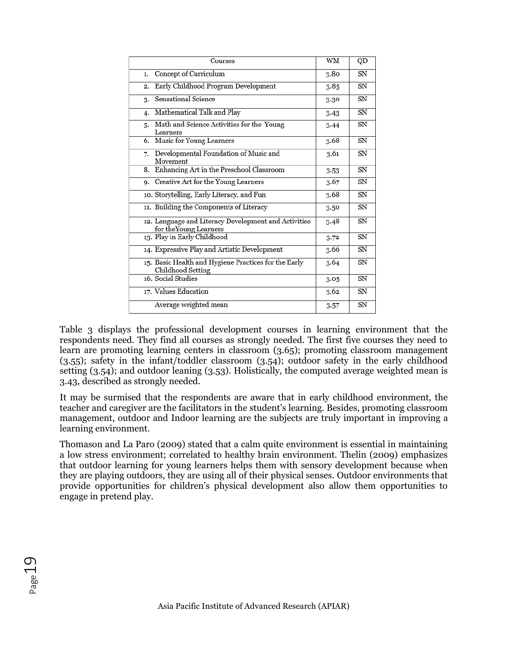| Courses                                                                        | WM   | QD |
|--------------------------------------------------------------------------------|------|----|
| Concept of Curriculum<br>1.                                                    | 3.80 | SN |
| Early Childhood Program Development<br>2.                                      | 3.85 | SN |
| Sensational Science<br>3.                                                      | 3.30 | SN |
| Mathematical Talk and Play<br>4.                                               | 3.43 | SN |
| Math and Science Activities for the Young<br>5.<br>Learners                    | 3.44 | SN |
| 6. Music for Young Learners                                                    | 3.68 | SN |
| Developmental Foundation of Music and<br>7.<br>Movement                        | 3.61 | SN |
| 8. Enhancing Art in the Preschool Classroom                                    | 3.53 | SN |
| 9. Creative Art for the Young Learners                                         | 3.67 | SN |
| 10. Storytelling, Early Literacy, and Fun                                      | 3.68 | SN |
| 11. Building the Components of Literacy                                        | 3.50 | SN |
| 12. Language and Literacy Development and Activities<br>for the Young Learners | 3.48 | SN |
| 13. Play in Early Childhood                                                    | 3.72 | SN |
| 14. Expressive Play and Artistic Development                                   | 3.66 | SN |
| 15. Basic Health and Hygiene Practices for the Early<br>Childhood Setting      | 3.64 | SN |
| 16. Social Studies                                                             | 3.05 | SN |
| 17. Values Education                                                           | 3.62 | SN |
| Average weighted mean                                                          | 3.57 | SN |

Table 3 displays the professional development courses in learning environment that the respondents need. They find all courses as strongly needed. The first five courses they need to learn are promoting learning centers in classroom (3.65); promoting classroom management (3.55); safety in the infant/toddler classroom (3.54); outdoor safety in the early childhood setting (3.54); and outdoor leaning (3.53). Holistically, the computed average weighted mean is 3.43, described as strongly needed.

It may be surmised that the respondents are aware that in early childhood environment, the teacher and caregiver are the facilitators in the student's learning. Besides, promoting classroom management, outdoor and Indoor learning are the subjects are truly important in improving a learning environment.

Thomason and La Paro (2009) stated that a calm quite environment is essential in maintaining a low stress environment; correlated to healthy brain environment. Thelin (2009) emphasizes that outdoor learning for young learners helps them with sensory development because when they are playing outdoors, they are using all of their physical senses. Outdoor environments that provide opportunities for children's physical development also allow them opportunities to engage in pretend play.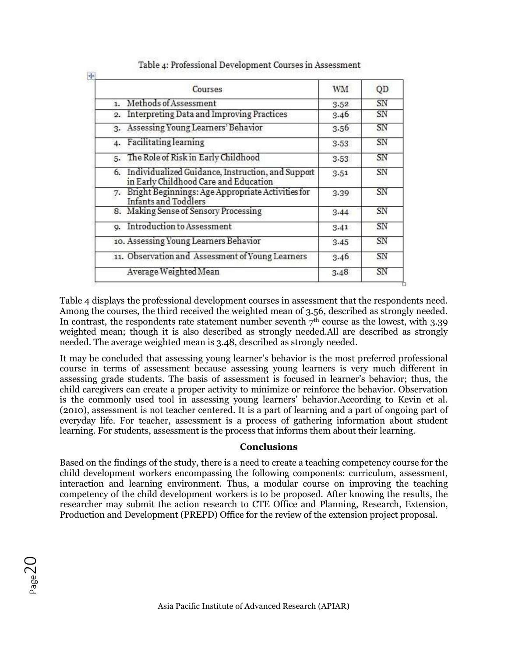| Courses                                                                                          | WM   | QD |
|--------------------------------------------------------------------------------------------------|------|----|
| Methods of Assessment<br>$\mathbf{1}$                                                            | 3.52 | SN |
| Interpreting Data and Improving Practices<br>2.                                                  | 3.46 | SN |
| Assessing Young Learners' Behavior<br>3.                                                         | 3.56 | SN |
| <b>Facilitating learning</b><br>4.                                                               | 3.53 | SN |
| 5. The Role of Risk in Early Childhood                                                           | 3.53 | SN |
| Individualized Guidance, Instruction, and Support<br>6.<br>in Early Childhood Care and Education | 3.51 | SN |
| Bright Beginnings: Age Appropriate Activities for<br>7.<br><b>Infants and Toddlers</b>           | 3.39 | SN |
| 8. Making Sense of Sensory Processing                                                            | 3.44 | SN |
| Introduction to Assessment<br><b>Q.</b>                                                          | 3.41 | SN |
| 10. Assessing Young Learners Behavior                                                            | 3.45 | SN |
| 11. Observation and Assessment of Young Learners                                                 | 3.46 | SN |
| Average Weighted Mean                                                                            | 3.48 | SN |

# Table 4: Professional Development Courses in Assessment

Table 4 displays the professional development courses in assessment that the respondents need. Among the courses, the third received the weighted mean of 3.56, described as strongly needed. In contrast, the respondents rate statement number seventh  $7<sup>th</sup>$  course as the lowest, with 3.39 weighted mean; though it is also described as strongly needed.All are described as strongly needed. The average weighted mean is 3.48, described as strongly needed.

It may be concluded that assessing young learner's behavior is the most preferred professional course in terms of assessment because assessing young learners is very much different in assessing grade students. The basis of assessment is focused in learner's behavior; thus, the child caregivers can create a proper activity to minimize or reinforce the behavior. Observation is the commonly used tool in assessing young learners' behavior.According to Kevin et al. (2010), assessment is not teacher centered. It is a part of learning and a part of ongoing part of everyday life. For teacher, assessment is a process of gathering information about student learning. For students, assessment is the process that informs them about their learning.

#### **Conclusions**

Based on the findings of the study, there is a need to create a teaching competency course for the child development workers encompassing the following components: curriculum, assessment, interaction and learning environment. Thus, a modular course on improving the teaching competency of the child development workers is to be proposed. After knowing the results, the researcher may submit the action research to CTE Office and Planning, Research, Extension, Production and Development (PREPD) Office for the review of the extension project proposal.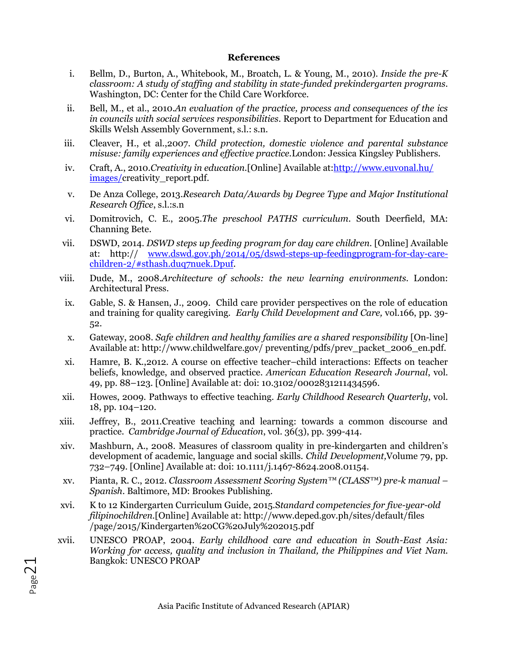#### **References**

- i. Bellm, D., Burton, A., Whitebook, M., Broatch, L. & Young, M., 2010). *Inside the pre-K classroom: A study of staffing and stability in state-funded prekindergarten programs.*  Washington, DC: Center for the Child Care Workforce.
- ii. Bell, M., et al., 2010.*An evaluation of the practice, process and consequences of the ics in councils with social services responsibilities*. Report to Department for Education and Skills Welsh Assembly Government, s.l.: s.n.
- iii. Cleaver, H., et al.,2007. *Child protection, domestic violence and parental substance misuse: family experiences and effective practice.*London: Jessica Kingsley Publishers.
- iv. Craft, A., 2010.*Creativity in education.*[Online] Available at[:http://www.euvonal.hu/](http://www.euvonal.hu/%20images/)  [images/c](http://www.euvonal.hu/%20images/)reativity\_report.pdf.
- v. De Anza College, 2013.*Research Data/Awards by Degree Type and Major Institutional Research Office*, s.l.:s.n
- vi. Domitrovich, C. E., 2005.*The preschool PATHS curriculum*. South Deerfield, MA: Channing Bete.
- vii. DSWD, 2014. *DSWD steps up feeding program for day care children.* [Online] Available at: http:// www.dswd.gov.ph/2014/05/dswd-steps-up-feedingprogram-for-day-carechildren-2/#sthash.duq7nuek.Dpuf.
- viii. Dude, M., 2008.*Architecture of schools: the new learning environments.* London: Architectural Press.
- ix. Gable, S. & Hansen, J., 2009. Child care provider perspectives on the role of education and training for quality caregiving. *Early Child Development and Care,* vol.166, pp. 39- 52.
- x. Gateway, 2008. *Safe children and healthy families are a shared responsibility* [On-line] Available at: http://www.childwelfare.gov/ preventing/pdfs/prev\_packet\_2006\_en.pdf.
- xi. Hamre, B. K.,2012. A course on effective teacher–child interactions: Effects on teacher beliefs, knowledge, and observed practice. *American Education Research Journal*, vol. 49, pp. 88–123. [Online] Available at: doi: 10.3102/0002831211434596.
- xii. Howes, 2009. Pathways to effective teaching. *Early Childhood Research Quarterly*, vol. 18, pp. 104–120.
- xiii. Jeffrey, B., 2011.Creative teaching and learning: towards a common discourse and practice. *Cambridge Journal of Education*, vol. 36(3), pp. 399-414.
- xiv. Mashburn, A., 2008. Measures of classroom quality in pre-kindergarten and children's development of academic, language and social skills. *Child Development,*Volume 79, pp. 732–749. [Online] Available at: doi: 10.1111/j.1467-8624.2008.01154.
- xv. Pianta, R. C., 2012. *Classroom Assessment Scoring System™ (CLASS™) pre-k manual – Spanish*. Baltimore, MD: Brookes Publishing.
- xvi. K to 12 Kindergarten Curriculum Guide, 2015.S*tandard competencies for five-year-old filipinochildren.*[Online] Available at: http://www.deped.gov.ph/sites/default/files /page/2015/Kindergarten%20CG%20July%202015.pdf
- xvii. UNESCO PROAP, 2004. *Early childhood care and education in South-East Asia: Working for access, quality and inclusion in Thailand, the Philippines and Viet Nam.* Bangkok: UNESCO PROAP